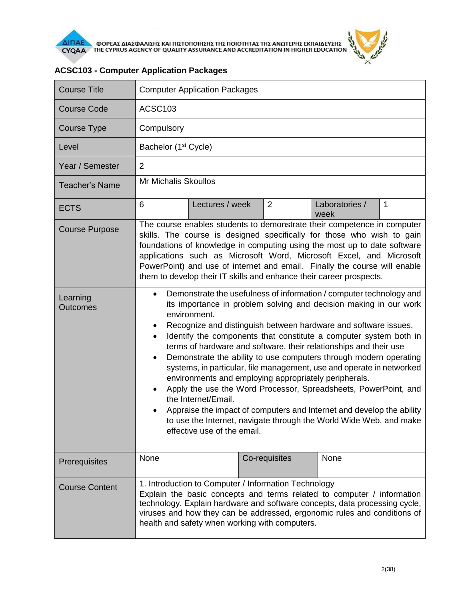

| <b>Course Title</b>         | <b>Computer Application Packages</b>                                                                                                                                                                                                                                                                                                                                                                                                                                                                                                                                                                                                                                                                                                                                                                                                                                             |                 |                |                        |   |
|-----------------------------|----------------------------------------------------------------------------------------------------------------------------------------------------------------------------------------------------------------------------------------------------------------------------------------------------------------------------------------------------------------------------------------------------------------------------------------------------------------------------------------------------------------------------------------------------------------------------------------------------------------------------------------------------------------------------------------------------------------------------------------------------------------------------------------------------------------------------------------------------------------------------------|-----------------|----------------|------------------------|---|
| <b>Course Code</b>          | ACSC <sub>103</sub>                                                                                                                                                                                                                                                                                                                                                                                                                                                                                                                                                                                                                                                                                                                                                                                                                                                              |                 |                |                        |   |
| Course Type                 | Compulsory                                                                                                                                                                                                                                                                                                                                                                                                                                                                                                                                                                                                                                                                                                                                                                                                                                                                       |                 |                |                        |   |
| Level                       | Bachelor (1 <sup>st</sup> Cycle)                                                                                                                                                                                                                                                                                                                                                                                                                                                                                                                                                                                                                                                                                                                                                                                                                                                 |                 |                |                        |   |
| Year / Semester             | $\overline{2}$                                                                                                                                                                                                                                                                                                                                                                                                                                                                                                                                                                                                                                                                                                                                                                                                                                                                   |                 |                |                        |   |
| <b>Teacher's Name</b>       | Mr Michalis Skoullos                                                                                                                                                                                                                                                                                                                                                                                                                                                                                                                                                                                                                                                                                                                                                                                                                                                             |                 |                |                        |   |
| <b>ECTS</b>                 | 6                                                                                                                                                                                                                                                                                                                                                                                                                                                                                                                                                                                                                                                                                                                                                                                                                                                                                | Lectures / week | $\overline{2}$ | Laboratories /<br>week | 1 |
| <b>Course Purpose</b>       | The course enables students to demonstrate their competence in computer<br>skills. The course is designed specifically for those who wish to gain<br>foundations of knowledge in computing using the most up to date software<br>applications such as Microsoft Word, Microsoft Excel, and Microsoft<br>PowerPoint) and use of internet and email. Finally the course will enable<br>them to develop their IT skills and enhance their career prospects.                                                                                                                                                                                                                                                                                                                                                                                                                         |                 |                |                        |   |
| Learning<br><b>Outcomes</b> | Demonstrate the usefulness of information / computer technology and<br>$\bullet$<br>its importance in problem solving and decision making in our work<br>environment.<br>Recognize and distinguish between hardware and software issues.<br>Identify the components that constitute a computer system both in<br>٠<br>terms of hardware and software, their relationships and their use<br>Demonstrate the ability to use computers through modern operating<br>٠<br>systems, in particular, file management, use and operate in networked<br>environments and employing appropriately peripherals.<br>Apply the use the Word Processor, Spreadsheets, PowerPoint, and<br>٠<br>the Internet/Email.<br>Appraise the impact of computers and Internet and develop the ability<br>to use the Internet, navigate through the World Wide Web, and make<br>effective use of the email. |                 |                |                        |   |
| Prerequisites               | None                                                                                                                                                                                                                                                                                                                                                                                                                                                                                                                                                                                                                                                                                                                                                                                                                                                                             |                 | Co-requisites  | None                   |   |
| <b>Course Content</b>       | 1. Introduction to Computer / Information Technology<br>Explain the basic concepts and terms related to computer / information<br>technology. Explain hardware and software concepts, data processing cycle,<br>viruses and how they can be addressed, ergonomic rules and conditions of<br>health and safety when working with computers.                                                                                                                                                                                                                                                                                                                                                                                                                                                                                                                                       |                 |                |                        |   |

## **ACSC103 - Computer Application Packages**

 $\frac{d^2y}{dx^2}$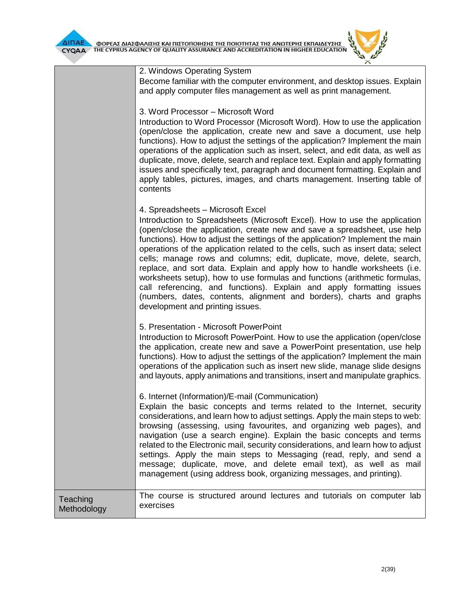

|                         | 2. Windows Operating System<br>Become familiar with the computer environment, and desktop issues. Explain<br>and apply computer files management as well as print management.<br>3. Word Processor - Microsoft Word<br>Introduction to Word Processor (Microsoft Word). How to use the application<br>(open/close the application, create new and save a document, use help<br>functions). How to adjust the settings of the application? Implement the main<br>operations of the application such as insert, select, and edit data, as well as<br>duplicate, move, delete, search and replace text. Explain and apply formatting<br>issues and specifically text, paragraph and document formatting. Explain and<br>apply tables, pictures, images, and charts management. Inserting table of<br>contents |
|-------------------------|------------------------------------------------------------------------------------------------------------------------------------------------------------------------------------------------------------------------------------------------------------------------------------------------------------------------------------------------------------------------------------------------------------------------------------------------------------------------------------------------------------------------------------------------------------------------------------------------------------------------------------------------------------------------------------------------------------------------------------------------------------------------------------------------------------|
|                         | 4. Spreadsheets - Microsoft Excel<br>Introduction to Spreadsheets (Microsoft Excel). How to use the application<br>(open/close the application, create new and save a spreadsheet, use help<br>functions). How to adjust the settings of the application? Implement the main<br>operations of the application related to the cells, such as insert data; select<br>cells; manage rows and columns; edit, duplicate, move, delete, search,<br>replace, and sort data. Explain and apply how to handle worksheets (i.e.<br>worksheets setup), how to use formulas and functions (arithmetic formulas,<br>call referencing, and functions). Explain and apply formatting issues<br>(numbers, dates, contents, alignment and borders), charts and graphs<br>development and printing issues.                   |
|                         | 5. Presentation - Microsoft PowerPoint<br>Introduction to Microsoft PowerPoint. How to use the application (open/close<br>the application, create new and save a PowerPoint presentation, use help<br>functions). How to adjust the settings of the application? Implement the main<br>operations of the application such as insert new slide, manage slide designs<br>and layouts, apply animations and transitions, insert and manipulate graphics.                                                                                                                                                                                                                                                                                                                                                      |
|                         | 6. Internet (Information)/E-mail (Communication)<br>Explain the basic concepts and terms related to the Internet, security<br>considerations, and learn how to adjust settings. Apply the main steps to web:<br>browsing (assessing, using favourites, and organizing web pages), and<br>navigation (use a search engine). Explain the basic concepts and terms<br>related to the Electronic mail, security considerations, and learn how to adjust<br>settings. Apply the main steps to Messaging (read, reply, and send a<br>message; duplicate, move, and delete email text), as well as mail<br>management (using address book, organizing messages, and printing).                                                                                                                                    |
| Teaching<br>Methodology | The course is structured around lectures and tutorials on computer lab<br>exercises                                                                                                                                                                                                                                                                                                                                                                                                                                                                                                                                                                                                                                                                                                                        |